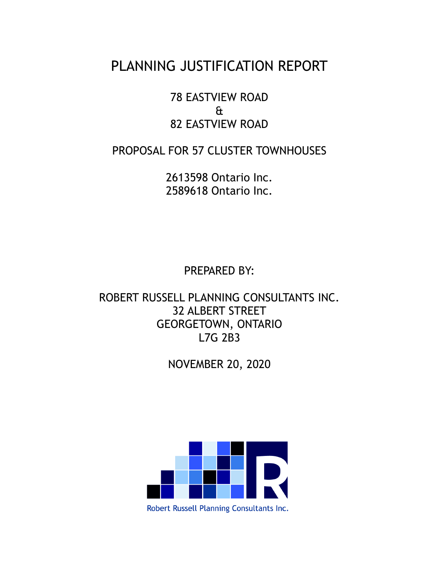# PLANNING JUSTIFICATION REPORT

78 EASTVIEW ROAD & 82 EASTVIEW ROAD

PROPOSAL FOR 57 CLUSTER TOWNHOUSES

2613598 Ontario Inc. 2589618 Ontario Inc.

PREPARED BY:

ROBERT RUSSELL PLANNING CONSULTANTS INC. 32 ALBERT STREET GEORGETOWN, ONTARIO L7G 2B3

NOVEMBER 20, 2020



Robert Russell Planning Consultants Inc.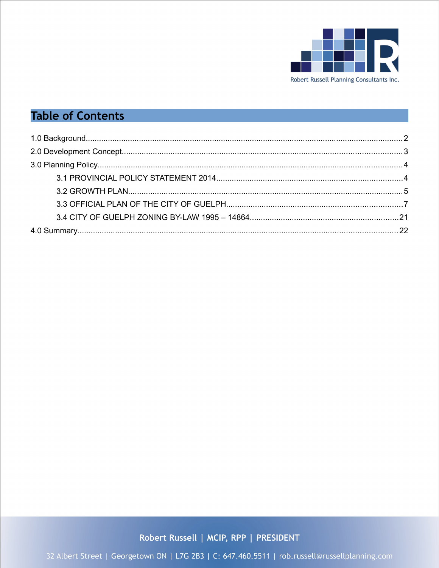

# **Table of Contents**

Robert Russell | MCIP, RPP | PRESIDENT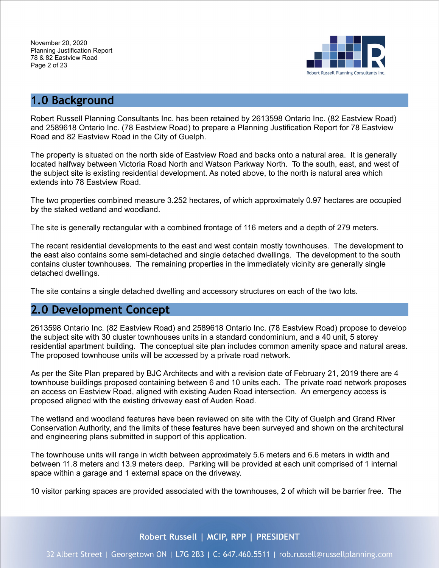

# <span id="page-2-0"></span>**1.0 Background**

Robert Russell Planning Consultants Inc. has been retained by 2613598 Ontario Inc. (82 Eastview Road) and 2589618 Ontario Inc. (78 Eastview Road) to prepare a Planning Justification Report for 78 Eastview Road and 82 Eastview Road in the City of Guelph.

The property is situated on the north side of Eastview Road and backs onto a natural area. It is generally located halfway between Victoria Road North and Watson Parkway North. To the south, east, and west of the subject site is existing residential development. As noted above, to the north is natural area which extends into 78 Eastview Road.

The two properties combined measure 3.252 hectares, of which approximately 0.97 hectares are occupied by the staked wetland and woodland.

The site is generally rectangular with a combined frontage of 116 meters and a depth of 279 meters.

The recent residential developments to the east and west contain mostly townhouses. The development to the east also contains some semi-detached and single detached dwellings. The development to the south contains cluster townhouses. The remaining properties in the immediately vicinity are generally single detached dwellings.

The site contains a single detached dwelling and accessory structures on each of the two lots.

# <span id="page-2-1"></span>**2.0 Development Concept**

2613598 Ontario Inc. (82 Eastview Road) and 2589618 Ontario Inc. (78 Eastview Road) propose to develop the subject site with 30 cluster townhouses units in a standard condominium, and a 40 unit, 5 storey residential apartment building. The conceptual site plan includes common amenity space and natural areas. The proposed townhouse units will be accessed by a private road network.

As per the Site Plan prepared by BJC Architects and with a revision date of February 21, 2019 there are 4 townhouse buildings proposed containing between 6 and 10 units each. The private road network proposes an access on Eastview Road, aligned with existing Auden Road intersection. An emergency access is proposed aligned with the existing driveway east of Auden Road.

The wetland and woodland features have been reviewed on site with the City of Guelph and Grand River Conservation Authority, and the limits of these features have been surveyed and shown on the architectural and engineering plans submitted in support of this application.

The townhouse units will range in width between approximately 5.6 meters and 6.6 meters in width and between 11.8 meters and 13.9 meters deep. Parking will be provided at each unit comprised of 1 internal space within a garage and 1 external space on the driveway.

10 visitor parking spaces are provided associated with the townhouses, 2 of which will be barrier free. The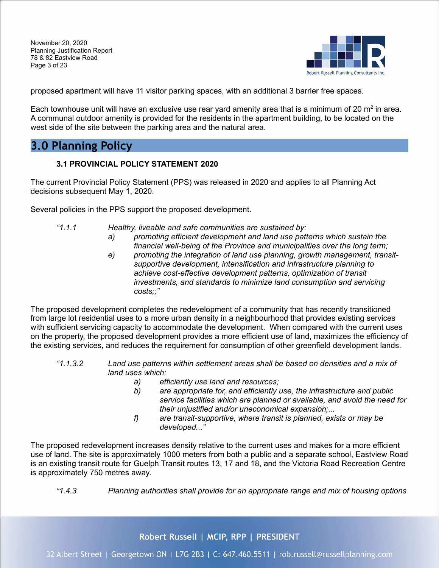November 20, 2020 Planning Justification Report 78 & 82 Eastview Road Page 3 of 23



proposed apartment will have 11 visitor parking spaces, with an additional 3 barrier free spaces.

Each townhouse unit will have an exclusive use rear yard amenity area that is a minimum of 20  $m^2$  in area. A communal outdoor amenity is provided for the residents in the apartment building, to be located on the west side of the site between the parking area and the natural area.

# <span id="page-3-1"></span>**3.0 Planning Policy**

## <span id="page-3-0"></span>**3.1 PROVINCIAL POLICY STATEMENT 2020**

The current Provincial Policy Statement (PPS) was released in 2020 and applies to all Planning Act decisions subsequent May 1, 2020.

Several policies in the PPS support the proposed development.

- *"1.1.1 Healthy, liveable and safe communities are sustained by:*
	- *a) promoting efficient development and land use patterns which sustain the financial well-being of the Province and municipalities over the long term;*
	- *e) promoting the integration of land use planning, growth management, transitsupportive development, intensification and infrastructure planning to achieve cost-effective development patterns, optimization of transit investments, and standards to minimize land consumption and servicing costs;;"*

The proposed development completes the redevelopment of a community that has recently transitioned from large lot residential uses to a more urban density in a neighbourhood that provides existing services with sufficient servicing capacity to accommodate the development. When compared with the current uses on the property, the proposed development provides a more efficient use of land, maximizes the efficiency of the existing services, and reduces the requirement for consumption of other greenfield development lands.

- *"1.1.3.2 Land use patterns within settlement areas shall be based on densities and a mix of land uses which:*
	- *a) efficiently use land and resources;*
	- *b) are appropriate for, and efficiently use, the infrastructure and public service facilities which are planned or available, and avoid the need for their unjustified and/or uneconomical expansion;...*
	- *f) are transit-supportive, where transit is planned, exists or may be developed..."*

The proposed redevelopment increases density relative to the current uses and makes for a more efficient use of land. The site is approximately 1000 meters from both a public and a separate school, Eastview Road is an existing transit route for Guelph Transit routes 13, 17 and 18, and the Victoria Road Recreation Centre is approximately 750 metres away.

*"1.4.3 Planning authorities shall provide for an appropriate range and mix of housing options*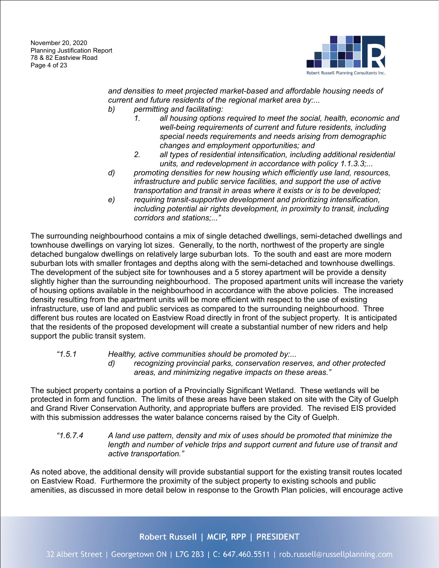

*and densities to meet projected market-based and affordable housing needs of current and future residents of the regional market area by:...*

- *b) permitting and facilitating:*
	- *1. all housing options required to meet the social, health, economic and well-being requirements of current and future residents, including special needs requirements and needs arising from demographic changes and employment opportunities; and*
	- *2. all types of residential intensification, including additional residential units, and redevelopment in accordance with policy 1.1.3.3;...*
- *d) promoting densities for new housing which efficiently use land, resources, infrastructure and public service facilities, and support the use of active transportation and transit in areas where it exists or is to be developed;*
- *e) requiring transit-supportive development and prioritizing intensification, including potential air rights development, in proximity to transit, including corridors and stations;..."*

The surrounding neighbourhood contains a mix of single detached dwellings, semi-detached dwellings and townhouse dwellings on varying lot sizes. Generally, to the north, northwest of the property are single detached bungalow dwellings on relatively large suburban lots. To the south and east are more modern suburban lots with smaller frontages and depths along with the semi-detached and townhouse dwellings. The development of the subject site for townhouses and a 5 storey apartment will be provide a density slightly higher than the surrounding neighbourhood. The proposed apartment units will increase the variety of housing options available in the neighbourhood in accordance with the above policies. The increased density resulting from the apartment units will be more efficient with respect to the use of existing infrastructure, use of land and public services as compared to the surrounding neighbourhood. Three different bus routes are located on Eastview Road directly in front of the subject property. It is anticipated that the residents of the proposed development will create a substantial number of new riders and help support the public transit system.

#### *"1.5.1 Healthy, active communities should be promoted by:...*

*d) recognizing provincial parks, conservation reserves, and other protected areas, and minimizing negative impacts on these areas."*

The subject property contains a portion of a Provincially Significant Wetland. These wetlands will be protected in form and function. The limits of these areas have been staked on site with the City of Guelph and Grand River Conservation Authority, and appropriate buffers are provided. The revised EIS provided with this submission addresses the water balance concerns raised by the City of Guelph.

*"1.6.7.4 A land use pattern, density and mix of uses should be promoted that minimize the*  length and number of vehicle trips and support current and future use of transit and *active transportation."*

As noted above, the additional density will provide substantial support for the existing transit routes located on Eastview Road. Furthermore the proximity of the subject property to existing schools and public amenities, as discussed in more detail below in response to the Growth Plan policies, will encourage active

# Robert Russell | MCIP, RPP | PRESIDENT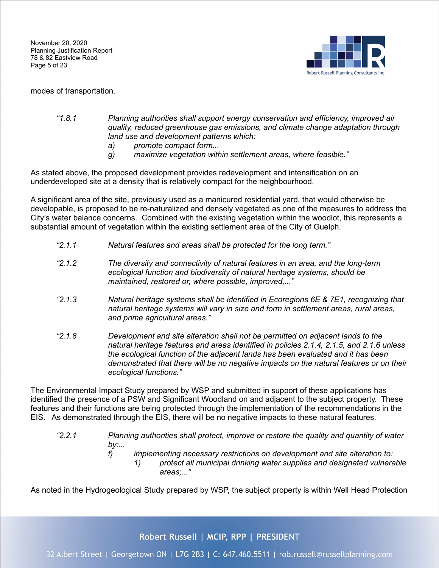November 20, 2020 Planning Justification Report 78 & 82 Eastview Road Page 5 of 23



modes of transportation.

#### *"1.8.1 Planning authorities shall support energy conservation and efficiency, improved air quality, reduced greenhouse gas emissions, and climate change adaptation through land use and development patterns which:*

- *a) promote compact form...*
- *g) maximize vegetation within settlement areas, where feasible."*

As stated above, the proposed development provides redevelopment and intensification on an underdeveloped site at a density that is relatively compact for the neighbourhood.

A significant area of the site, previously used as a manicured residential yard, that would otherwise be developable, is proposed to be re-naturalized and densely vegetated as one of the measures to address the City's water balance concerns. Combined with the existing vegetation within the woodlot, this represents a substantial amount of vegetation within the existing settlement area of the City of Guelph.

- *"2.1.1 Natural features and areas shall be protected for the long term."*
- *"2.1.2 The diversity and connectivity of natural features in an area, and the long-term ecological function and biodiversity of natural heritage systems, should be maintained, restored or, where possible, improved,..."*
- *"2.1.3 Natural heritage systems shall be identified in Ecoregions 6E & 7E1, recognizing that natural heritage systems will vary in size and form in settlement areas, rural areas, and prime agricultural areas."*
- *"2.1.8 Development and site alteration shall not be permitted on adjacent lands to the natural heritage features and areas identified in policies 2.1.4, 2.1.5, and 2.1.6 unless the ecological function of the adjacent lands has been evaluated and it has been demonstrated that there will be no negative impacts on the natural features or on their ecological functions."*

The Environmental Impact Study prepared by WSP and submitted in support of these applications has identified the presence of a PSW and Significant Woodland on and adjacent to the subject property. These features and their functions are being protected through the implementation of the recommendations in the EIS. As demonstrated through the EIS, there will be no negative impacts to these natural features.

- *"2.2.1 Planning authorities shall protect, improve or restore the quality and quantity of water by:...*
	- *f) implementing necessary restrictions on development and site alteration to:*
		- *1) protect all municipal drinking water supplies and designated vulnerable areas;..."*

As noted in the Hydrogeological Study prepared by WSP, the subject property is within Well Head Protection

Robert Russell | MCIP, RPP | PRESIDENT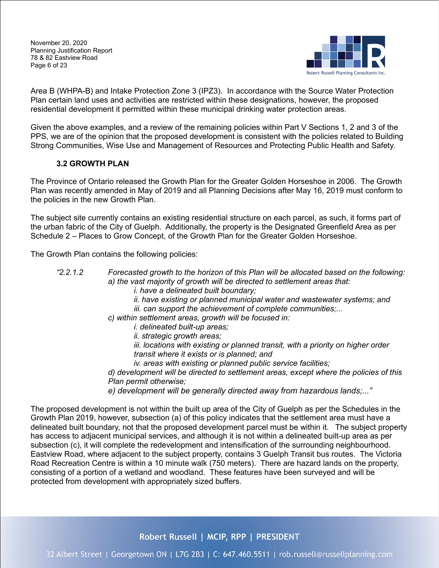November 20, 2020 Planning Justification Report 78 & 82 Eastview Road Page 6 of 23



Area B (WHPA-B) and Intake Protection Zone 3 (IPZ3). In accordance with the Source Water Protection Plan certain land uses and activities are restricted within these designations, however, the proposed residential development it permitted within these municipal drinking water protection areas.

Given the above examples, and a review of the remaining policies within Part V Sections 1, 2 and 3 of the PPS, we are of the opinion that the proposed development is consistent with the policies related to Building Strong Communities, Wise Use and Management of Resources and Protecting Public Health and Safety.

## <span id="page-6-0"></span>**3.2 GROWTH PLAN**

The Province of Ontario released the Growth Plan for the Greater Golden Horseshoe in 2006. The Growth Plan was recently amended in May of 2019 and all Planning Decisions after May 16, 2019 must conform to the policies in the new Growth Plan.

The subject site currently contains an existing residential structure on each parcel, as such, it forms part of the urban fabric of the City of Guelph. Additionally, the property is the Designated Greenfield Area as per Schedule 2 – Places to Grow Concept, of the Growth Plan for the Greater Golden Horseshoe.

The Growth Plan contains the following policies:

- *"2.2.1.2 Forecasted growth to the horizon of this Plan will be allocated based on the following: a) the vast majority of growth will be directed to settlement areas that:*
	- *i. have a delineated built boundary;*
	- *ii. have existing or planned municipal water and wastewater systems; and*
	- *iii. can support the achievement of complete communities;...*
	- *c) within settlement areas, growth will be focused in:*
		- *i. delineated built-up areas;*
		- *ii. strategic growth areas;*

*iii. locations with existing or planned transit, with a priority on higher order transit where it exists or is planned; and*

*iv. areas with existing or planned public service facilities;*

*d) development will be directed to settlement areas, except where the policies of this Plan permit otherwise;*

*e) development will be generally directed away from hazardous lands;..."*

The proposed development is not within the built up area of the City of Guelph as per the Schedules in the Growth Plan 2019, however, subsection (a) of this policy indicates that the settlement area must have a delineated built boundary, not that the proposed development parcel must be within it. The subject property has access to adjacent municipal services, and although it is not within a delineated built-up area as per subsection (c), it will complete the redevelopment and intensification of the surrounding neighbourhood. Eastview Road, where adjacent to the subject property, contains 3 Guelph Transit bus routes. The Victoria Road Recreation Centre is within a 10 minute walk (750 meters). There are hazard lands on the property, consisting of a portion of a wetland and woodland. These features have been surveyed and will be protected from development with appropriately sized buffers.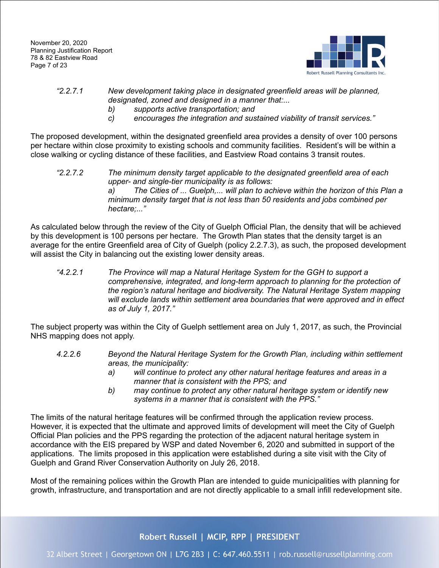November 20, 2020 Planning Justification Report 78 & 82 Eastview Road Page 7 of 23



## *"2.2.7.1 New development taking place in designated greenfield areas will be planned, designated, zoned and designed in a manner that:...*

- *b) supports active transportation; and*
- *c) encourages the integration and sustained viability of transit services."*

The proposed development, within the designated greenfield area provides a density of over 100 persons per hectare within close proximity to existing schools and community facilities. Resident's will be within a close walking or cycling distance of these facilities, and Eastview Road contains 3 transit routes.

*"2.2.7.2 The minimum density target applicable to the designated greenfield area of each upper- and single-tier municipality is as follows: a) The Cities of ... Guelph,... will plan to achieve within the horizon of this Plan a minimum density target that is not less than 50 residents and jobs combined per hectare;..."*

As calculated below through the review of the City of Guelph Official Plan, the density that will be achieved by this development is 100 persons per hectare. The Growth Plan states that the density target is an average for the entire Greenfield area of City of Guelph (policy 2.2.7.3), as such, the proposed development will assist the City in balancing out the existing lower density areas.

*"4.2.2.1 The Province will map a Natural Heritage System for the GGH to support a comprehensive, integrated, and long-term approach to planning for the protection of the region's natural heritage and biodiversity. The Natural Heritage System mapping will exclude lands within settlement area boundaries that were approved and in effect as of July 1, 2017."*

The subject property was within the City of Guelph settlement area on July 1, 2017, as such, the Provincial NHS mapping does not apply.

- *4.2.2.6 Beyond the Natural Heritage System for the Growth Plan, including within settlement areas, the municipality:*
	- *a) will continue to protect any other natural heritage features and areas in a manner that is consistent with the PPS; and*
	- *b) may continue to protect any other natural heritage system or identify new systems in a manner that is consistent with the PPS."*

The limits of the natural heritage features will be confirmed through the application review process. However, it is expected that the ultimate and approved limits of development will meet the City of Guelph Official Plan policies and the PPS regarding the protection of the adjacent natural heritage system in accordance with the EIS prepared by WSP and dated November 6, 2020 and submitted in support of the applications. The limits proposed in this application were established during a site visit with the City of Guelph and Grand River Conservation Authority on July 26, 2018.

Most of the remaining polices within the Growth Plan are intended to guide municipalities with planning for growth, infrastructure, and transportation and are not directly applicable to a small infill redevelopment site.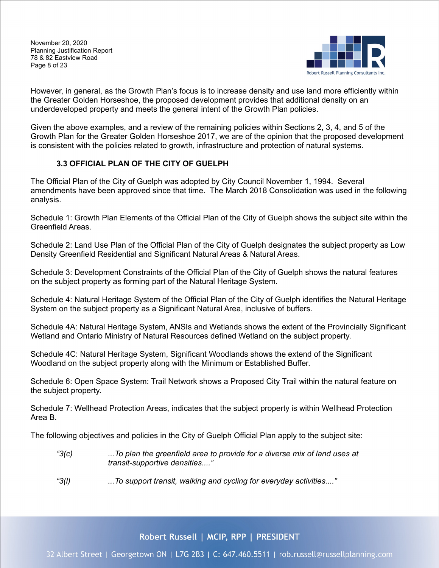November 20, 2020 Planning Justification Report 78 & 82 Eastview Road Page 8 of 23



However, in general, as the Growth Plan's focus is to increase density and use land more efficiently within the Greater Golden Horseshoe, the proposed development provides that additional density on an underdeveloped property and meets the general intent of the Growth Plan policies.

Given the above examples, and a review of the remaining policies within Sections 2, 3, 4, and 5 of the Growth Plan for the Greater Golden Horseshoe 2017, we are of the opinion that the proposed development is consistent with the policies related to growth, infrastructure and protection of natural systems.

# <span id="page-8-0"></span>**3.3 OFFICIAL PLAN OF THE CITY OF GUELPH**

The Official Plan of the City of Guelph was adopted by City Council November 1, 1994. Several amendments have been approved since that time. The March 2018 Consolidation was used in the following analysis.

Schedule 1: Growth Plan Elements of the Official Plan of the City of Guelph shows the subject site within the Greenfield Areas.

Schedule 2: Land Use Plan of the Official Plan of the City of Guelph designates the subject property as Low Density Greenfield Residential and Significant Natural Areas & Natural Areas.

Schedule 3: Development Constraints of the Official Plan of the City of Guelph shows the natural features on the subject property as forming part of the Natural Heritage System.

Schedule 4: Natural Heritage System of the Official Plan of the City of Guelph identifies the Natural Heritage System on the subject property as a Significant Natural Area, inclusive of buffers.

Schedule 4A: Natural Heritage System, ANSIs and Wetlands shows the extent of the Provincially Significant Wetland and Ontario Ministry of Natural Resources defined Wetland on the subject property.

Schedule 4C: Natural Heritage System, Significant Woodlands shows the extend of the Significant Woodland on the subject property along with the Minimum or Established Buffer.

Schedule 6: Open Space System: Trail Network shows a Proposed City Trail within the natural feature on the subject property.

Schedule 7: Wellhead Protection Areas, indicates that the subject property is within Wellhead Protection Area B.

The following objectives and policies in the City of Guelph Official Plan apply to the subject site:

- *"3(c) ...To plan the greenfield area to provide for a diverse mix of land uses at transit-supportive densities...."*
- *"3(l) ...To support transit, walking and cycling for everyday activities...."*

Robert Russell | MCIP, RPP | PRESIDENT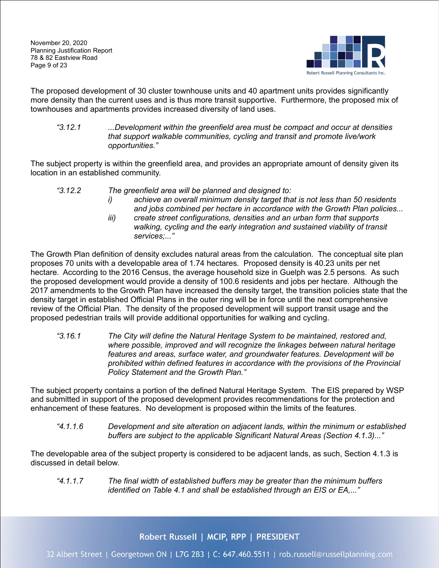November 20, 2020 Planning Justification Report 78 & 82 Eastview Road Page 9 of 23



The proposed development of 30 cluster townhouse units and 40 apartment units provides significantly more density than the current uses and is thus more transit supportive. Furthermore, the proposed mix of townhouses and apartments provides increased diversity of land uses.

*"3.12.1 ...Development within the greenfield area must be compact and occur at densities that support walkable communities, cycling and transit and promote live/work opportunities."*

The subject property is within the greenfield area, and provides an appropriate amount of density given its location in an established community.

- *"3.12.2 The greenfield area will be planned and designed to:*
	- *i) achieve an overall minimum density target that is not less than 50 residents and jobs combined per hectare in accordance with the Growth Plan policies...*
	- *iii) create street configurations, densities and an urban form that supports walking, cycling and the early integration and sustained viability of transit services;..."*

The Growth Plan definition of density excludes natural areas from the calculation. The conceptual site plan proposes 70 units with a developable area of 1.74 hectares. Proposed density is 40.23 units per net hectare. According to the 2016 Census, the average household size in Guelph was 2.5 persons. As such the proposed development would provide a density of 100.6 residents and jobs per hectare. Although the 2017 amendments to the Growth Plan have increased the density target, the transition policies state that the density target in established Official Plans in the outer ring will be in force until the next comprehensive review of the Official Plan. The density of the proposed development will support transit usage and the proposed pedestrian trails will provide additional opportunities for walking and cycling.

*"3.16.1 The City will define the Natural Heritage System to be maintained, restored and, where possible, improved and will recognize the linkages between natural heritage features and areas, surface water, and groundwater features. Development will be prohibited within defined features in accordance with the provisions of the Provincial Policy Statement and the Growth Plan."*

The subject property contains a portion of the defined Natural Heritage System. The EIS prepared by WSP and submitted in support of the proposed development provides recommendations for the protection and enhancement of these features. No development is proposed within the limits of the features.

*"4.1.1.6 Development and site alteration on adjacent lands, within the minimum or established buffers are subject to the applicable Significant Natural Areas (Section 4.1.3)..."*

The developable area of the subject property is considered to be adjacent lands, as such, Section 4.1.3 is discussed in detail below.

*"4.1.1.7 The final width of established buffers may be greater than the minimum buffers identified on Table 4.1 and shall be established through an EIS or EA,..."*

Robert Russell | MCIP, RPP | PRESIDENT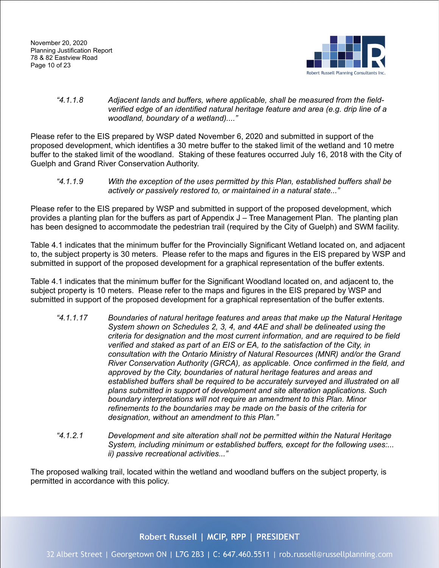

#### *"4.1.1.8 Adjacent lands and buffers, where applicable, shall be measured from the fieldverified edge of an identified natural heritage feature and area (e.g. drip line of a woodland, boundary of a wetland)...."*

Please refer to the EIS prepared by WSP dated November 6, 2020 and submitted in support of the proposed development, which identifies a 30 metre buffer to the staked limit of the wetland and 10 metre buffer to the staked limit of the woodland. Staking of these features occurred July 16, 2018 with the City of Guelph and Grand River Conservation Authority.

*"4.1.1.9 With the exception of the uses permitted by this Plan, established buffers shall be actively or passively restored to, or maintained in a natural state..."*

Please refer to the EIS prepared by WSP and submitted in support of the proposed development, which provides a planting plan for the buffers as part of Appendix J – Tree Management Plan. The planting plan has been designed to accommodate the pedestrian trail (required by the City of Guelph) and SWM facility.

Table 4.1 indicates that the minimum buffer for the Provincially Significant Wetland located on, and adjacent to, the subject property is 30 meters. Please refer to the maps and figures in the EIS prepared by WSP and submitted in support of the proposed development for a graphical representation of the buffer extents.

Table 4.1 indicates that the minimum buffer for the Significant Woodland located on, and adjacent to, the subject property is 10 meters. Please refer to the maps and figures in the EIS prepared by WSP and submitted in support of the proposed development for a graphical representation of the buffer extents.

- *"4.1.1.17 Boundaries of natural heritage features and areas that make up the Natural Heritage System shown on Schedules 2, 3, 4, and 4AE and shall be delineated using the criteria for designation and the most current information, and are required to be field verified and staked as part of an EIS or EA, to the satisfaction of the City, in consultation with the Ontario Ministry of Natural Resources (MNR) and/or the Grand River Conservation Authority (GRCA), as applicable. Once confirmed in the field, and approved by the City, boundaries of natural heritage features and areas and established buffers shall be required to be accurately surveyed and illustrated on all plans submitted in support of development and site alteration applications. Such boundary interpretations will not require an amendment to this Plan. Minor refinements to the boundaries may be made on the basis of the criteria for designation, without an amendment to this Plan."*
- *"4.1.2.1 Development and site alteration shall not be permitted within the Natural Heritage System, including minimum or established buffers, except for the following uses:... ii) passive recreational activities..."*

The proposed walking trail, located within the wetland and woodland buffers on the subject property, is permitted in accordance with this policy.

Robert Russell | MCIP, RPP | PRESIDENT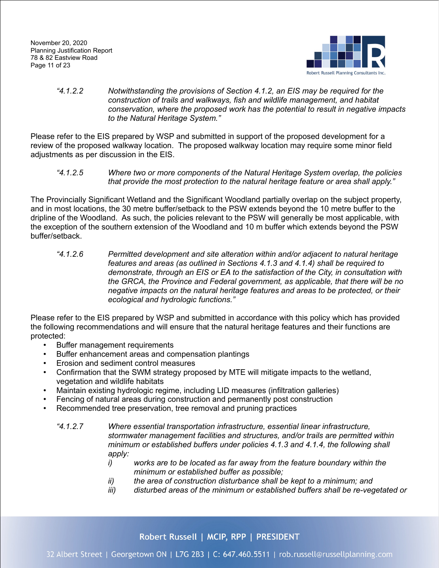

#### *"4.1.2.2 Notwithstanding the provisions of Section 4.1.2, an EIS may be required for the construction of trails and walkways, fish and wildlife management, and habitat conservation, where the proposed work has the potential to result in negative impacts to the Natural Heritage System."*

Please refer to the EIS prepared by WSP and submitted in support of the proposed development for a review of the proposed walkway location. The proposed walkway location may require some minor field adjustments as per discussion in the EIS.

*"4.1.2.5 Where two or more components of the Natural Heritage System overlap, the policies that provide the most protection to the natural heritage feature or area shall apply."*

The Provincially Significant Wetland and the Significant Woodland partially overlap on the subject property, and in most locations, the 30 metre buffer/setback to the PSW extends beyond the 10 metre buffer to the dripline of the Woodland. As such, the policies relevant to the PSW will generally be most applicable, with the exception of the southern extension of the Woodland and 10 m buffer which extends beyond the PSW buffer/setback.

*"4.1.2.6 Permitted development and site alteration within and/or adjacent to natural heritage features and areas (as outlined in Sections 4.1.3 and 4.1.4) shall be required to demonstrate, through an EIS or EA to the satisfaction of the City, in consultation with the GRCA, the Province and Federal government, as applicable, that there will be no negative impacts on the natural heritage features and areas to be protected, or their ecological and hydrologic functions."*

Please refer to the EIS prepared by WSP and submitted in accordance with this policy which has provided the following recommendations and will ensure that the natural heritage features and their functions are protected:

- Buffer management requirements
- Buffer enhancement areas and compensation plantings<br>• Erosion and sediment control measures
- Erosion and sediment control measures
- Confirmation that the SWM strategy proposed by MTE will mitigate impacts to the wetland, vegetation and wildlife habitats
- Maintain existing hydrologic regime, including LID measures (infiltration galleries)
- Fencing of natural areas during construction and permanently post construction
- Recommended tree preservation, tree removal and pruning practices
	- *"4.1.2.7 Where essential transportation infrastructure, essential linear infrastructure, stormwater management facilities and structures, and/or trails are permitted within minimum or established buffers under policies 4.1.3 and 4.1.4, the following shall apply:*
		- *i) works are to be located as far away from the feature boundary within the minimum or established buffer as possible;*
		- *ii) the area of construction disturbance shall be kept to a minimum; and*
		- *iii) disturbed areas of the minimum or established buffers shall be re-vegetated or*

# Robert Russell | MCIP, RPP | PRESIDENT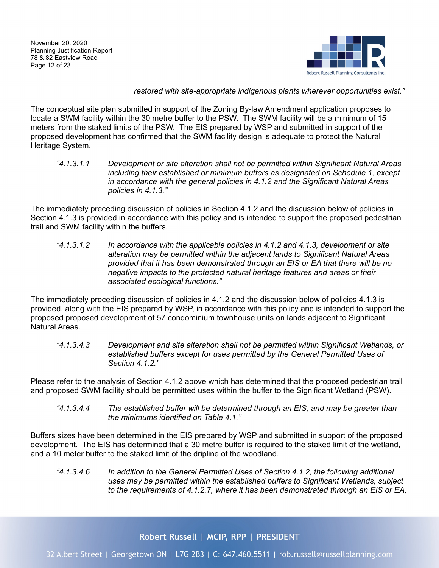

*restored with site-appropriate indigenous plants wherever opportunities exist."*

The conceptual site plan submitted in support of the Zoning By-law Amendment application proposes to locate a SWM facility within the 30 metre buffer to the PSW. The SWM facility will be a minimum of 15 meters from the staked limits of the PSW. The EIS prepared by WSP and submitted in support of the proposed development has confirmed that the SWM facility design is adequate to protect the Natural Heritage System.

*"4.1.3.1.1 Development or site alteration shall not be permitted within Significant Natural Areas including their established or minimum buffers as designated on Schedule 1, except in accordance with the general policies in 4.1.2 and the Significant Natural Areas policies in 4.1.3."*

The immediately preceding discussion of policies in Section 4.1.2 and the discussion below of policies in Section 4.1.3 is provided in accordance with this policy and is intended to support the proposed pedestrian trail and SWM facility within the buffers.

*"4.1.3.1.2 In accordance with the applicable policies in 4.1.2 and 4.1.3, development or site alteration may be permitted within the adjacent lands to Significant Natural Areas provided that it has been demonstrated through an EIS or EA that there will be no negative impacts to the protected natural heritage features and areas or their associated ecological functions."*

The immediately preceding discussion of policies in 4.1.2 and the discussion below of policies 4.1.3 is provided, along with the EIS prepared by WSP, in accordance with this policy and is intended to support the proposed proposed development of 57 condominium townhouse units on lands adjacent to Significant Natural Areas.

*"4.1.3.4.3 Development and site alteration shall not be permitted within Significant Wetlands, or established buffers except for uses permitted by the General Permitted Uses of Section 4.1.2."*

Please refer to the analysis of Section 4.1.2 above which has determined that the proposed pedestrian trail and proposed SWM facility should be permitted uses within the buffer to the Significant Wetland (PSW).

*"4.1.3.4.4 The established buffer will be determined through an EIS, and may be greater than the minimums identified on Table 4.1."*

Buffers sizes have been determined in the EIS prepared by WSP and submitted in support of the proposed development. The EIS has determined that a 30 metre buffer is required to the staked limit of the wetland, and a 10 meter buffer to the staked limit of the dripline of the woodland.

*"4.1.3.4.6 In addition to the General Permitted Uses of Section 4.1.2, the following additional uses may be permitted within the established buffers to Significant Wetlands, subject to the requirements of 4.1.2.7, where it has been demonstrated through an EIS or EA,*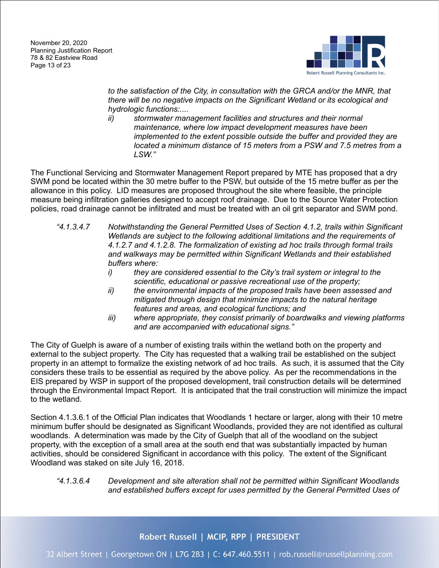

to the satisfaction of the City, in consultation with the GRCA and/or the MNR, that *there will be no negative impacts on the Significant Wetland or its ecological and hydrologic functions:....*

*ii) stormwater management facilities and structures and their normal maintenance, where low impact development measures have been implemented to the extent possible outside the buffer and provided they are located a minimum distance of 15 meters from a PSW and 7.5 metres from a LSW."*

The Functional Servicing and Stormwater Management Report prepared by MTE has proposed that a dry SWM pond be located within the 30 metre buffer to the PSW, but outside of the 15 metre buffer as per the allowance in this policy. LID measures are proposed throughout the site where feasible, the principle measure being infiltration galleries designed to accept roof drainage. Due to the Source Water Protection policies, road drainage cannot be infiltrated and must be treated with an oil grit separator and SWM pond.

- *"4.1.3.4.7 Notwithstanding the General Permitted Uses of Section 4.1.2, trails within Significant Wetlands are subject to the following additional limitations and the requirements of 4.1.2.7 and 4.1.2.8. The formalization of existing ad hoc trails through formal trails and walkways may be permitted within Significant Wetlands and their established buffers where:*
	- *i) they are considered essential to the City's trail system or integral to the scientific, educational or passive recreational use of the property;*
	- *ii) the environmental impacts of the proposed trails have been assessed and mitigated through design that minimize impacts to the natural heritage features and areas, and ecological functions; and*
	- *iii) where appropriate, they consist primarily of boardwalks and viewing platforms and are accompanied with educational signs."*

The City of Guelph is aware of a number of existing trails within the wetland both on the property and external to the subject property. The City has requested that a walking trail be established on the subject property in an attempt to formalize the existing network of ad hoc trails. As such, it is assumed that the City considers these trails to be essential as required by the above policy. As per the recommendations in the EIS prepared by WSP in support of the proposed development, trail construction details will be determined through the Environmental Impact Report. It is anticipated that the trail construction will minimize the impact to the wetland.

Section 4.1.3.6.1 of the Official Plan indicates that Woodlands 1 hectare or larger, along with their 10 metre minimum buffer should be designated as Significant Woodlands, provided they are not identified as cultural woodlands. A determination was made by the City of Guelph that all of the woodland on the subject property, with the exception of a small area at the south end that was substantially impacted by human activities, should be considered Significant in accordance with this policy. The extent of the Significant Woodland was staked on site July 16, 2018.

#### *"4.1.3.6.4 Development and site alteration shall not be permitted within Significant Woodlands and established buffers except for uses permitted by the General Permitted Uses of*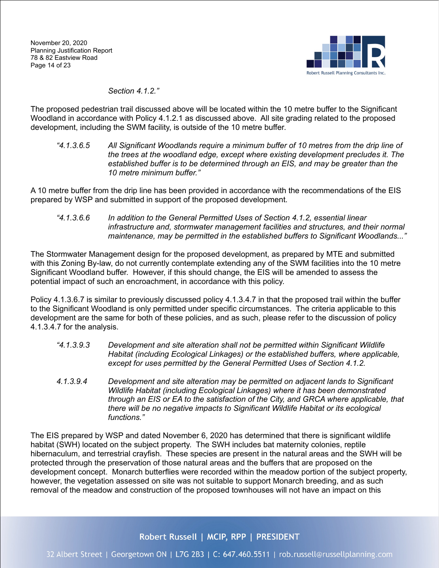

*Section 4.1.2."*

The proposed pedestrian trail discussed above will be located within the 10 metre buffer to the Significant Woodland in accordance with Policy 4.1.2.1 as discussed above. All site grading related to the proposed development, including the SWM facility, is outside of the 10 metre buffer.

*"4.1.3.6.5 All Significant Woodlands require a minimum buffer of 10 metres from the drip line of the trees at the woodland edge, except where existing development precludes it. The established buffer is to be determined through an EIS, and may be greater than the 10 metre minimum buffer."*

A 10 metre buffer from the drip line has been provided in accordance with the recommendations of the EIS prepared by WSP and submitted in support of the proposed development.

*"4.1.3.6.6 In addition to the General Permitted Uses of Section 4.1.2, essential linear infrastructure and, stormwater management facilities and structures, and their normal maintenance, may be permitted in the established buffers to Significant Woodlands..."*

The Stormwater Management design for the proposed development, as prepared by MTE and submitted with this Zoning By-law, do not currently contemplate extending any of the SWM facilities into the 10 metre Significant Woodland buffer. However, if this should change, the EIS will be amended to assess the potential impact of such an encroachment, in accordance with this policy.

Policy 4.1.3.6.7 is similar to previously discussed policy 4.1.3.4.7 in that the proposed trail within the buffer to the Significant Woodland is only permitted under specific circumstances. The criteria applicable to this development are the same for both of these policies, and as such, please refer to the discussion of policy 4.1.3.4.7 for the analysis.

- *"4.1.3.9.3 Development and site alteration shall not be permitted within Significant Wildlife Habitat (including Ecological Linkages) or the established buffers, where applicable, except for uses permitted by the General Permitted Uses of Section 4.1.2.*
- *4.1.3.9.4 Development and site alteration may be permitted on adjacent lands to Significant Wildlife Habitat (including Ecological Linkages) where it has been demonstrated through an EIS or EA to the satisfaction of the City, and GRCA where applicable, that there will be no negative impacts to Significant Wildlife Habitat or its ecological functions."*

The EIS prepared by WSP and dated November 6, 2020 has determined that there is significant wildlife habitat (SWH) located on the subject property. The SWH includes bat maternity colonies, reptile hibernaculum, and terrestrial crayfish. These species are present in the natural areas and the SWH will be protected through the preservation of those natural areas and the buffers that are proposed on the development concept. Monarch butterflies were recorded within the meadow portion of the subject property, however, the vegetation assessed on site was not suitable to support Monarch breeding, and as such removal of the meadow and construction of the proposed townhouses will not have an impact on this

Robert Russell | MCIP, RPP | PRESIDENT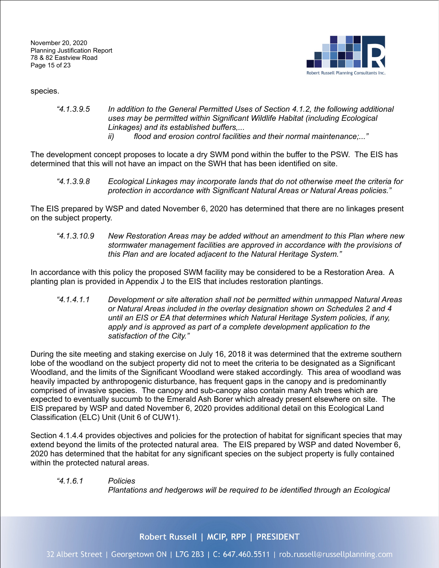November 20, 2020 Planning Justification Report 78 & 82 Eastview Road Page 15 of 23



species.

- *"4.1.3.9.5 In addition to the General Permitted Uses of Section 4.1.2, the following additional uses may be permitted within Significant Wildlife Habitat (including Ecological Linkages) and its established buffers,...*
	- *ii) flood and erosion control facilities and their normal maintenance;..."*

The development concept proposes to locate a dry SWM pond within the buffer to the PSW. The EIS has determined that this will not have an impact on the SWH that has been identified on site.

*"4.1.3.9.8 Ecological Linkages may incorporate lands that do not otherwise meet the criteria for protection in accordance with Significant Natural Areas or Natural Areas policies."*

The EIS prepared by WSP and dated November 6, 2020 has determined that there are no linkages present on the subject property.

*"4.1.3.10.9 New Restoration Areas may be added without an amendment to this Plan where new stormwater management facilities are approved in accordance with the provisions of this Plan and are located adjacent to the Natural Heritage System."*

In accordance with this policy the proposed SWM facility may be considered to be a Restoration Area. A planting plan is provided in Appendix J to the EIS that includes restoration plantings.

*"4.1.4.1.1 Development or site alteration shall not be permitted within unmapped Natural Areas or Natural Areas included in the overlay designation shown on Schedules 2 and 4 until an EIS or EA that determines which Natural Heritage System policies, if any, apply and is approved as part of a complete development application to the satisfaction of the City."*

During the site meeting and staking exercise on July 16, 2018 it was determined that the extreme southern lobe of the woodland on the subject property did not to meet the criteria to be designated as a Significant Woodland, and the limits of the Significant Woodland were staked accordingly. This area of woodland was heavily impacted by anthropogenic disturbance, has frequent gaps in the canopy and is predominantly comprised of invasive species. The canopy and sub-canopy also contain many Ash trees which are expected to eventually succumb to the Emerald Ash Borer which already present elsewhere on site. The EIS prepared by WSP and dated November 6, 2020 provides additional detail on this Ecological Land Classification (ELC) Unit (Unit 6 of CUW1).

Section 4.1.4.4 provides objectives and policies for the protection of habitat for significant species that may extend beyond the limits of the protected natural area. The EIS prepared by WSP and dated November 6, 2020 has determined that the habitat for any significant species on the subject property is fully contained within the protected natural areas.

#### *"4.1.6.1 Policies*

*Plantations and hedgerows will be required to be identified through an Ecological* 

Robert Russell | MCIP, RPP | PRESIDENT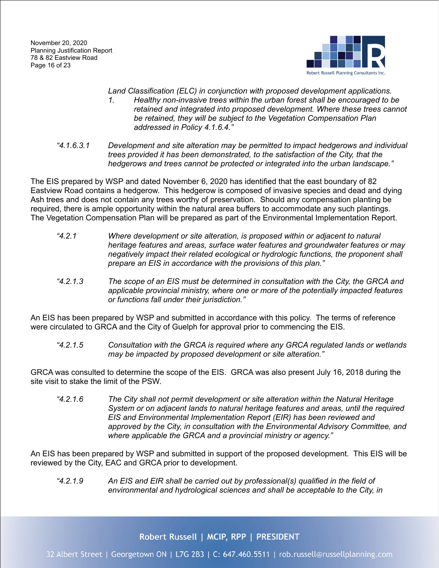November 20, 2020 Planning Justification Report 78 & 82 Eastview Road Page 16 of 23



- *Land Classification (ELC) in conjunction with proposed development applications. 1. Healthy non-invasive trees within the urban forest shall be encouraged to be retained and integrated into proposed development. Where these trees cannot be retained, they will be subject to the Vegetation Compensation Plan addressed in Policy 4.1.6.4."*
- *"4.1.6.3.1 Development and site alteration may be permitted to impact hedgerows and individual trees provided it has been demonstrated, to the satisfaction of the City, that the hedgerows and trees cannot be protected or integrated into the urban landscape."*

The EIS prepared by WSP and dated November 6, 2020 has identified that the east boundary of 82 Eastview Road contains a hedgerow. This hedgerow is composed of invasive species and dead and dying Ash trees and does not contain any trees worthy of preservation. Should any compensation planting be required, there is ample opportunity within the natural area buffers to accommodate any such plantings. The Vegetation Compensation Plan will be prepared as part of the Environmental Implementation Report.

- *"4.2.1 Where development or site alteration, is proposed within or adjacent to natural heritage features and areas, surface water features and groundwater features or may negatively impact their related ecological or hydrologic functions, the proponent shall prepare an EIS in accordance with the provisions of this plan."*
- *"4.2.1.3 The scope of an EIS must be determined in consultation with the City, the GRCA and applicable provincial ministry, where one or more of the potentially impacted features or functions fall under their jurisdiction."*

An EIS has been prepared by WSP and submitted in accordance with this policy. The terms of reference were circulated to GRCA and the City of Guelph for approval prior to commencing the EIS.

*"4.2.1.5 Consultation with the GRCA is required where any GRCA regulated lands or wetlands may be impacted by proposed development or site alteration."*

GRCA was consulted to determine the scope of the EIS. GRCA was also present July 16, 2018 during the site visit to stake the limit of the PSW.

*"4.2.1.6 The City shall not permit development or site alteration within the Natural Heritage System or on adjacent lands to natural heritage features and areas, until the required EIS and Environmental Implementation Report (EIR) has been reviewed and approved by the City, in consultation with the Environmental Advisory Committee, and where applicable the GRCA and a provincial ministry or agency."*

An EIS has been prepared by WSP and submitted in support of the proposed development. This EIS will be reviewed by the City, EAC and GRCA prior to development.

*"4.2.1.9 An EIS and EIR shall be carried out by professional(s) qualified in the field of environmental and hydrological sciences and shall be acceptable to the City, in* 

Robert Russell | MCIP, RPP | PRESIDENT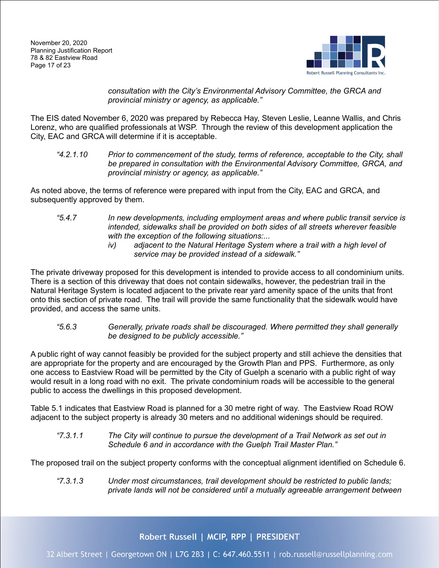

*consultation with the City's Environmental Advisory Committee, the GRCA and provincial ministry or agency, as applicable."*

The EIS dated November 6, 2020 was prepared by Rebecca Hay, Steven Leslie, Leanne Wallis, and Chris Lorenz, who are qualified professionals at WSP. Through the review of this development application the City, EAC and GRCA will determine if it is acceptable.

*"4.2.1.10 Prior to commencement of the study, terms of reference, acceptable to the City, shall be prepared in consultation with the Environmental Advisory Committee, GRCA, and provincial ministry or agency, as applicable."*

As noted above, the terms of reference were prepared with input from the City, EAC and GRCA, and subsequently approved by them.

- *"5.4.7 In new developments, including employment areas and where public transit service is intended, sidewalks shall be provided on both sides of all streets wherever feasible with the exception of the following situations:...*
	- *iv) adjacent to the Natural Heritage System where a trail with a high level of service may be provided instead of a sidewalk."*

The private driveway proposed for this development is intended to provide access to all condominium units. There is a section of this driveway that does not contain sidewalks, however, the pedestrian trail in the Natural Heritage System is located adjacent to the private rear yard amenity space of the units that front onto this section of private road. The trail will provide the same functionality that the sidewalk would have provided, and access the same units.

*"5.6.3 Generally, private roads shall be discouraged. Where permitted they shall generally be designed to be publicly accessible."*

A public right of way cannot feasibly be provided for the subject property and still achieve the densities that are appropriate for the property and are encouraged by the Growth Plan and PPS. Furthermore, as only one access to Eastview Road will be permitted by the City of Guelph a scenario with a public right of way would result in a long road with no exit. The private condominium roads will be accessible to the general public to access the dwellings in this proposed development.

Table 5.1 indicates that Eastview Road is planned for a 30 metre right of way. The Eastview Road ROW adjacent to the subject property is already 30 meters and no additional widenings should be required.

*"7.3.1.1 The City will continue to pursue the development of a Trail Network as set out in Schedule 6 and in accordance with the Guelph Trail Master Plan."*

The proposed trail on the subject property conforms with the conceptual alignment identified on Schedule 6.

*"7.3.1.3 Under most circumstances, trail development should be restricted to public lands; private lands will not be considered until a mutually agreeable arrangement between* 

# Robert Russell | MCIP, RPP | PRESIDENT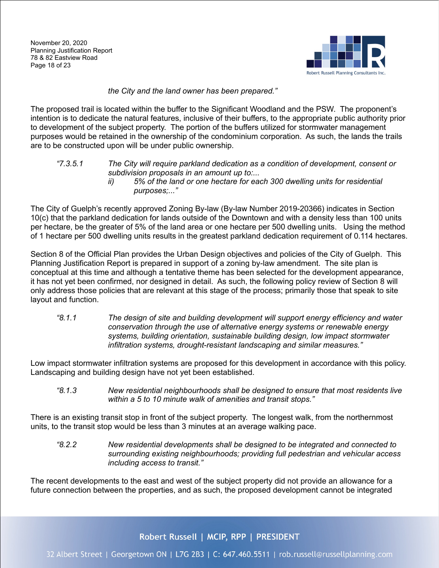

## *the City and the land owner has been prepared."*

The proposed trail is located within the buffer to the Significant Woodland and the PSW. The proponent's intention is to dedicate the natural features, inclusive of their buffers, to the appropriate public authority prior to development of the subject property. The portion of the buffers utilized for stormwater management purposes would be retained in the ownership of the condominium corporation. As such, the lands the trails are to be constructed upon will be under public ownership.

*"7.3.5.1 The City will require parkland dedication as a condition of development, consent or subdivision proposals in an amount up to:... ii) 5% of the land or one hectare for each 300 dwelling units for residential purposes;..."*

The City of Guelph's recently approved Zoning By-law (By-law Number 2019-20366) indicates in Section 10(c) that the parkland dedication for lands outside of the Downtown and with a density less than 100 units per hectare, be the greater of 5% of the land area or one hectare per 500 dwelling units. Using the method of 1 hectare per 500 dwelling units results in the greatest parkland dedication requirement of 0.114 hectares.

Section 8 of the Official Plan provides the Urban Design objectives and policies of the City of Guelph. This Planning Justification Report is prepared in support of a zoning by-law amendment. The site plan is conceptual at this time and although a tentative theme has been selected for the development appearance, it has not yet been confirmed, nor designed in detail. As such, the following policy review of Section 8 will only address those policies that are relevant at this stage of the process; primarily those that speak to site layout and function.

*"8.1.1 The design of site and building development will support energy efficiency and water conservation through the use of alternative energy systems or renewable energy systems, building orientation, sustainable building design, low impact stormwater infiltration systems, drought-resistant landscaping and similar measures."*

Low impact stormwater infiltration systems are proposed for this development in accordance with this policy. Landscaping and building design have not yet been established.

*"8.1.3 New residential neighbourhoods shall be designed to ensure that most residents live within a 5 to 10 minute walk of amenities and transit stops."*

There is an existing transit stop in front of the subject property. The longest walk, from the northernmost units, to the transit stop would be less than 3 minutes at an average walking pace.

*"8.2.2 New residential developments shall be designed to be integrated and connected to surrounding existing neighbourhoods; providing full pedestrian and vehicular access including access to transit."*

The recent developments to the east and west of the subject property did not provide an allowance for a future connection between the properties, and as such, the proposed development cannot be integrated

Robert Russell | MCIP, RPP | PRESIDENT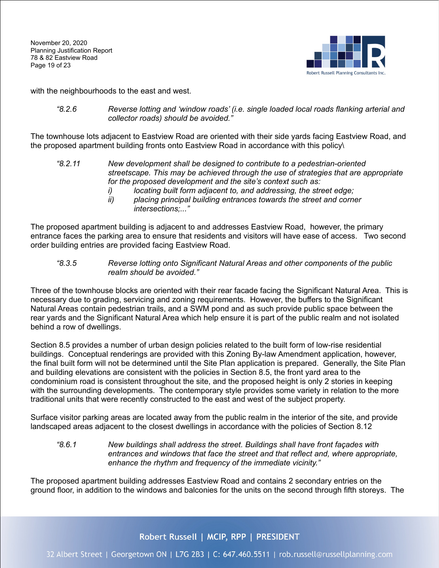

with the neighbourhoods to the east and west.

*"8.2.6 Reverse lotting and 'window roads' (i.e. single loaded local roads flanking arterial and collector roads) should be avoided."*

The townhouse lots adjacent to Eastview Road are oriented with their side yards facing Eastview Road, and the proposed apartment building fronts onto Eastview Road in accordance with this policy\

- *"8.2.11 New development shall be designed to contribute to a pedestrian-oriented streetscape. This may be achieved through the use of strategies that are appropriate for the proposed development and the site's context such as:*
	- *i) locating built form adjacent to, and addressing, the street edge;*
	- *ii) placing principal building entrances towards the street and corner intersections;..."*

The proposed apartment building is adjacent to and addresses Eastview Road, however, the primary entrance faces the parking area to ensure that residents and visitors will have ease of access. Two second order building entries are provided facing Eastview Road.

#### *"8.3.5 Reverse lotting onto Significant Natural Areas and other components of the public realm should be avoided."*

Three of the townhouse blocks are oriented with their rear facade facing the Significant Natural Area. This is necessary due to grading, servicing and zoning requirements. However, the buffers to the Significant Natural Areas contain pedestrian trails, and a SWM pond and as such provide public space between the rear yards and the Significant Natural Area which help ensure it is part of the public realm and not isolated behind a row of dwellings.

Section 8.5 provides a number of urban design policies related to the built form of low-rise residential buildings. Conceptual renderings are provided with this Zoning By-law Amendment application, however, the final built form will not be determined until the Site Plan application is prepared. Generally, the Site Plan and building elevations are consistent with the policies in Section 8.5, the front yard area to the condominium road is consistent throughout the site, and the proposed height is only 2 stories in keeping with the surrounding developments. The contemporary style provides some variety in relation to the more traditional units that were recently constructed to the east and west of the subject property.

Surface visitor parking areas are located away from the public realm in the interior of the site, and provide landscaped areas adjacent to the closest dwellings in accordance with the policies of Section 8.12

*"8.6.1 New buildings shall address the street. Buildings shall have front façades with entrances and windows that face the street and that reflect and, where appropriate, enhance the rhythm and frequency of the immediate vicinity."*

The proposed apartment building addresses Eastview Road and contains 2 secondary entries on the ground floor, in addition to the windows and balconies for the units on the second through fifth storeys. The

# Robert Russell | MCIP, RPP | PRESIDENT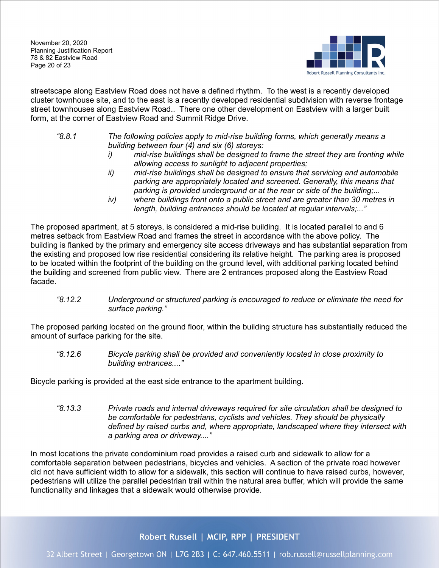November 20, 2020 Planning Justification Report 78 & 82 Eastview Road Page 20 of 23



streetscape along Eastview Road does not have a defined rhythm. To the west is a recently developed cluster townhouse site, and to the east is a recently developed residential subdivision with reverse frontage street townhouses along Eastview Road.. There one other development on Eastview with a larger built form, at the corner of Eastview Road and Summit Ridge Drive.

- *"8.8.1 The following policies apply to mid-rise building forms, which generally means a building between four (4) and six (6) storeys:*
	- *i) mid-rise buildings shall be designed to frame the street they are fronting while allowing access to sunlight to adjacent properties;*
	- *ii) mid-rise buildings shall be designed to ensure that servicing and automobile parking are appropriately located and screened. Generally, this means that parking is provided underground or at the rear or side of the building;...*
	- *iv) where buildings front onto a public street and are greater than 30 metres in length, building entrances should be located at regular intervals;..."*

The proposed apartment, at 5 storeys, is considered a mid-rise building. It is located parallel to and 6 metres setback from Eastview Road and frames the street in accordance with the above policy. The building is flanked by the primary and emergency site access driveways and has substantial separation from the existing and proposed low rise residential considering its relative height. The parking area is proposed to be located within the footprint of the building on the ground level, with additional parking located behind the building and screened from public view. There are 2 entrances proposed along the Eastview Road facade.

*"8.12.2 Underground or structured parking is encouraged to reduce or eliminate the need for surface parking."*

The proposed parking located on the ground floor, within the building structure has substantially reduced the amount of surface parking for the site.

*"8.12.6 Bicycle parking shall be provided and conveniently located in close proximity to building entrances...."*

Bicycle parking is provided at the east side entrance to the apartment building.

*"8.13.3 Private roads and internal driveways required for site circulation shall be designed to be comfortable for pedestrians, cyclists and vehicles. They should be physically defined by raised curbs and, where appropriate, landscaped where they intersect with a parking area or driveway...."*

In most locations the private condominium road provides a raised curb and sidewalk to allow for a comfortable separation between pedestrians, bicycles and vehicles. A section of the private road however did not have sufficient width to allow for a sidewalk, this section will continue to have raised curbs, however, pedestrians will utilize the parallel pedestrian trail within the natural area buffer, which will provide the same functionality and linkages that a sidewalk would otherwise provide.

Robert Russell | MCIP, RPP | PRESIDENT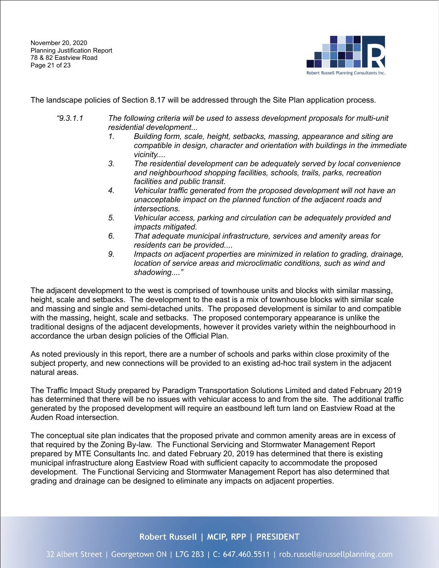November 20, 2020 Planning Justification Report 78 & 82 Eastview Road Page 21 of 23



The landscape policies of Section 8.17 will be addressed through the Site Plan application process.

- *"9.3.1.1 The following criteria will be used to assess development proposals for multi-unit residential development...*
	- *1. Building form, scale, height, setbacks, massing, appearance and siting are compatible in design, character and orientation with buildings in the immediate vicinity....*
	- *3. The residential development can be adequately served by local convenience and neighbourhood shopping facilities, schools, trails, parks, recreation facilities and public transit.*
	- *4. Vehicular traffic generated from the proposed development will not have an unacceptable impact on the planned function of the adjacent roads and intersections.*
	- *5. Vehicular access, parking and circulation can be adequately provided and impacts mitigated.*
	- *6. That adequate municipal infrastructure, services and amenity areas for residents can be provided....*
	- *9. Impacts on adjacent properties are minimized in relation to grading, drainage, location of service areas and microclimatic conditions, such as wind and shadowing...."*

The adjacent development to the west is comprised of townhouse units and blocks with similar massing, height, scale and setbacks. The development to the east is a mix of townhouse blocks with similar scale and massing and single and semi-detached units. The proposed development is similar to and compatible with the massing, height, scale and setbacks. The proposed contemporary appearance is unlike the traditional designs of the adjacent developments, however it provides variety within the neighbourhood in accordance the urban design policies of the Official Plan.

As noted previously in this report, there are a number of schools and parks within close proximity of the subject property, and new connections will be provided to an existing ad-hoc trail system in the adjacent natural areas.

The Traffic Impact Study prepared by Paradigm Transportation Solutions Limited and dated February 2019 has determined that there will be no issues with vehicular access to and from the site. The additional traffic generated by the proposed development will require an eastbound left turn land on Eastview Road at the Auden Road intersection.

The conceptual site plan indicates that the proposed private and common amenity areas are in excess of that required by the Zoning By-law. The Functional Servicing and Stormwater Management Report prepared by MTE Consultants Inc. and dated February 20, 2019 has determined that there is existing municipal infrastructure along Eastview Road with sufficient capacity to accommodate the proposed development. The Functional Servicing and Stormwater Management Report has also determined that grading and drainage can be designed to eliminate any impacts on adjacent properties.

Robert Russell | MCIP, RPP | PRESIDENT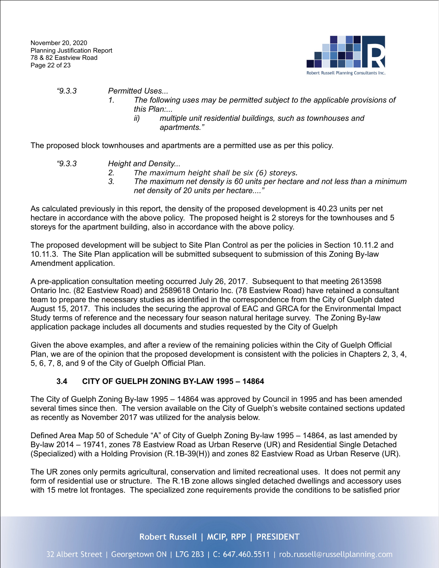

## *"9.3.3 Permitted Uses...*

- *1. The following uses may be permitted subject to the applicable provisions of this Plan:...*
	- *ii) multiple unit residential buildings, such as townhouses and apartments."*

The proposed block townhouses and apartments are a permitted use as per this policy.

- *"9.3.3 Height and Density...*
	- *2. The maximum height shall be six (6) storeys.*
	- *3. The maximum net density is 60 units per hectare and not less than a minimum net density of 20 units per hectare...."*

As calculated previously in this report, the density of the proposed development is 40.23 units per net hectare in accordance with the above policy. The proposed height is 2 storeys for the townhouses and 5 storeys for the apartment building, also in accordance with the above policy.

The proposed development will be subject to Site Plan Control as per the policies in Section 10.11.2 and 10.11.3. The Site Plan application will be submitted subsequent to submission of this Zoning By-law Amendment application.

A pre-application consultation meeting occurred July 26, 2017. Subsequent to that meeting 2613598 Ontario Inc. (82 Eastview Road) and 2589618 Ontario Inc. (78 Eastview Road) have retained a consultant team to prepare the necessary studies as identified in the correspondence from the City of Guelph dated August 15, 2017. This includes the securing the approval of EAC and GRCA for the Environmental Impact Study terms of reference and the necessary four season natural heritage survey. The Zoning By-law application package includes all documents and studies requested by the City of Guelph

Given the above examples, and after a review of the remaining policies within the City of Guelph Official Plan, we are of the opinion that the proposed development is consistent with the policies in Chapters 2, 3, 4, 5, 6, 7, 8, and 9 of the City of Guelph Official Plan.

# <span id="page-22-0"></span>**3.4 CITY OF GUELPH ZONING BY-LAW 1995 – 14864**

The City of Guelph Zoning By-law 1995 – 14864 was approved by Council in 1995 and has been amended several times since then. The version available on the City of Guelph's website contained sections updated as recently as November 2017 was utilized for the analysis below.

Defined Area Map 50 of Schedule "A" of City of Guelph Zoning By-law 1995 – 14864, as last amended by By-law 2014 – 19741, zones 78 Eastview Road as Urban Reserve (UR) and Residential Single Detached (Specialized) with a Holding Provision (R.1B-39(H)) and zones 82 Eastview Road as Urban Reserve (UR).

The UR zones only permits agricultural, conservation and limited recreational uses. It does not permit any form of residential use or structure. The R.1B zone allows singled detached dwellings and accessory uses with 15 metre lot frontages. The specialized zone requirements provide the conditions to be satisfied prior